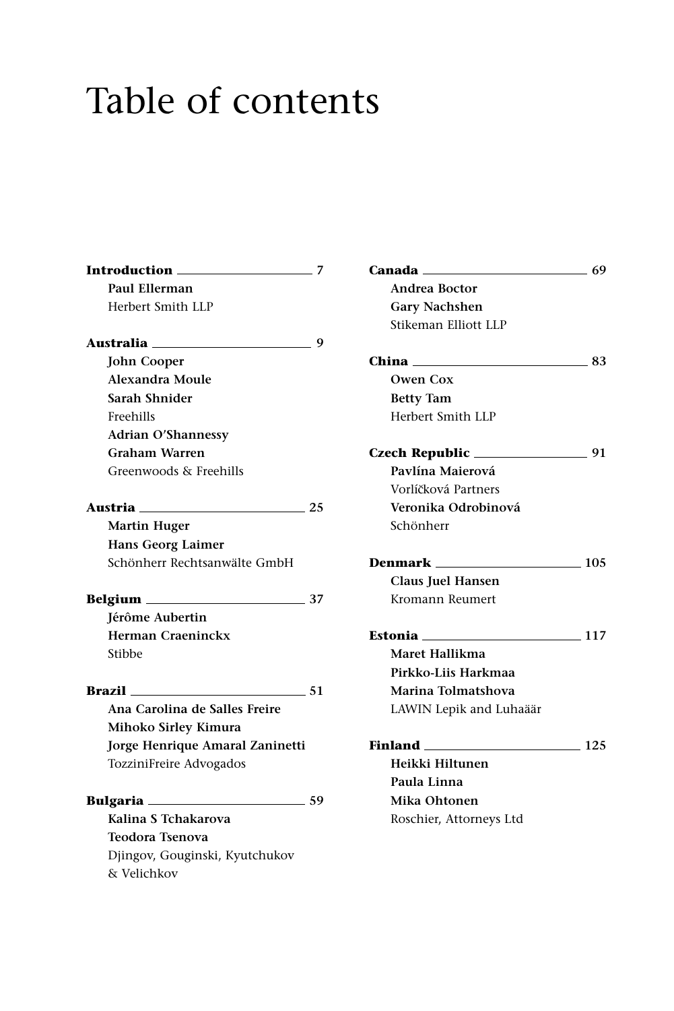## Table of contents

| Introduction _                  | 7    |
|---------------------------------|------|
| Paul Ellerman                   |      |
| Herbert Smith LLP               |      |
| Australia ____                  | 9    |
| <b>John Cooper</b>              |      |
| <b>Alexandra Moule</b>          |      |
| Sarah Shnider                   |      |
| Freehills                       |      |
| <b>Adrian O'Shannessy</b>       |      |
| <b>Graham Warren</b>            |      |
| Greenwoods & Freehills          |      |
| Austria <b>____</b> __          | . 25 |
| <b>Martin Huger</b>             |      |
| <b>Hans Georg Laimer</b>        |      |
| Schönherr Rechtsanwälte GmbH    |      |
| 37                              |      |
| Jérôme Aubertin                 |      |
| <b>Herman Craeninckx</b>        |      |
| Stibbe                          |      |
| <b>Brazil</b>                   | -51  |
| Ana Carolina de Salles Freire   |      |
| Mihoko Sirley Kimura            |      |
| Jorge Henrique Amaral Zaninetti |      |
| TozziniFreire Advogados         |      |
| Bulgaria                        | 59   |
| Kalina S Tchakarova             |      |
| <b>Teodora Tsenova</b>          |      |
| Djingov, Gouginski, Kyutchukov  |      |
| & Velichkov                     |      |

| <b>Andrea Boctor</b>               |     |
|------------------------------------|-----|
| <b>Gary Nachshen</b>               |     |
| Stikeman Elliott LLP               |     |
| China 83                           |     |
| Owen Cox                           |     |
| <b>Betty Tam</b>                   |     |
| Herbert Smith LLP                  |     |
| Czech Republic $\frac{1}{2}$ 91    |     |
| Pavlína Maierová                   |     |
| Vorlíčková Partners                |     |
| Veronika Odrobinová                |     |
| Schönherr                          |     |
| <b>Denmark</b> 105                 |     |
| Claus Juel Hansen                  |     |
| Kromann Reumert                    |     |
| Estonia <sub>—</sub><br>$\sim$ 117 |     |
| Maret Hallikma                     |     |
| Pirkko-Liis Harkmaa                |     |
| Marina Tolmatshova                 |     |
| LAWIN Lepik and Luhaäär            |     |
|                                    | 125 |
| Heikki Hiltunen                    |     |
| Paula Linna                        |     |
| Mika Ohtonen                       |     |
| Roschier, Attorneys Ltd            |     |
|                                    |     |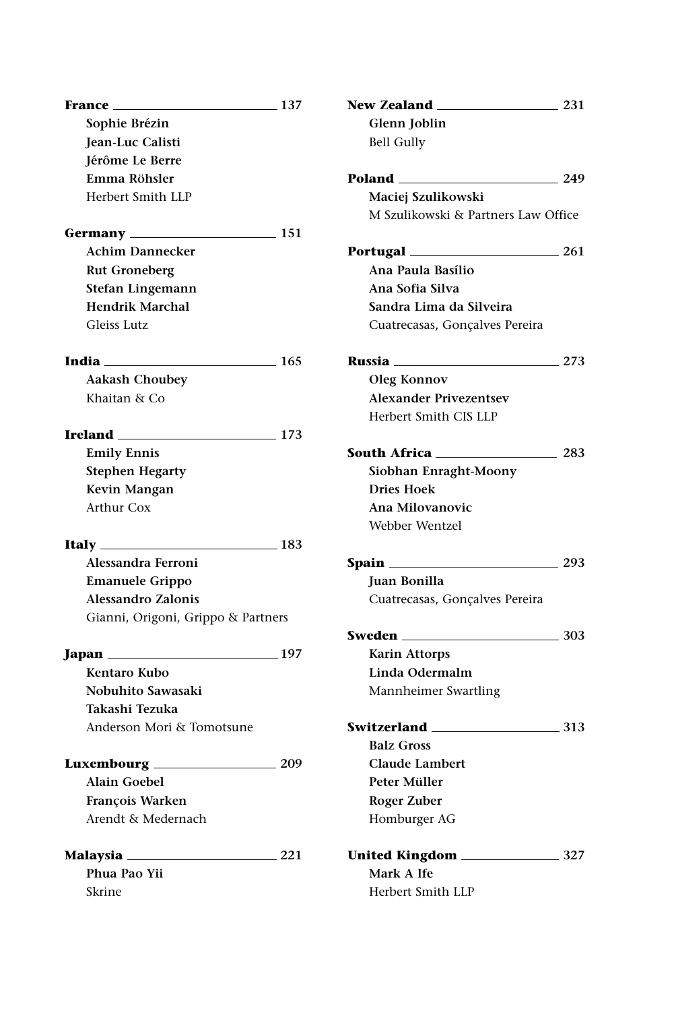| France $\frac{137}{2}$             |       | New Zealand __         |
|------------------------------------|-------|------------------------|
| Sophie Brézin                      |       | Glenn Joblin           |
| Jean-Luc Calisti                   |       | <b>Bell Gully</b>      |
| Jérôme Le Berre                    |       |                        |
| Emma Röhsler                       |       |                        |
| Herbert Smith LLP                  |       | Maciej Szulik          |
|                                    |       | M Szulikowski          |
|                                    |       |                        |
| <b>Achim Dannecker</b>             |       | Portugal               |
| <b>Rut Groneberg</b>               |       | Ana Paula Ba           |
| Stefan Lingemann                   |       | Ana Sofia Silv         |
| <b>Hendrik Marchal</b>             |       | Sandra Lima            |
| Gleiss Lutz                        |       | Cuatrecasas, G         |
| <b>India</b> 165                   |       | <b>Russia</b> ________ |
| <b>Aakash Choubey</b>              |       | Oleg Konnov            |
| Khaitan & Co                       |       | <b>Alexander Pri</b>   |
|                                    |       | Herbert Smith          |
| <b>Ireland</b> 173                 |       |                        |
| <b>Emily Ennis</b>                 |       | South Africa __        |
| <b>Stephen Hegarty</b>             |       | Siobhan Enra           |
| Kevin Mangan                       |       | <b>Dries Hoek</b>      |
| <b>Arthur Cox</b>                  |       | Ana Milovano           |
|                                    |       | Webber Wentz           |
| <b>Italy</b> 283                   |       |                        |
| Alessandra Ferroni                 |       | <b>Spain _________</b> |
| <b>Emanuele Grippo</b>             |       | Juan Bonilla           |
| Alessandro Zalonis                 |       | Cuatrecasas, G         |
| Gianni, Origoni, Grippo & Partners |       |                        |
|                                    |       | Sweden _______         |
|                                    |       | Karin Attorps          |
| Kentaro Kubo                       |       | Linda Oderm            |
| Nobuhito Sawasaki                  |       | Mannheimer 9           |
| Takashi Tezuka                     |       |                        |
| Anderson Mori & Tomotsune          |       | Switzerland            |
|                                    |       | <b>Balz Gross</b>      |
|                                    |       | Claude Lamb            |
| Alain Goebel                       |       | Peter Müller           |
| François Warken                    |       | Roger Zuber            |
| Arendt & Medernach                 |       | Homburger A            |
| Malaysia                           | _ 221 | <b>United Kingdor</b>  |
| Phua Pao Yii                       |       | Mark A Ife             |
| Skrine                             |       | Herbert Smith          |
|                                    |       |                        |

| bell Gully                          |       |
|-------------------------------------|-------|
| Poland ___                          | 249   |
| Maciej Szulikowski                  |       |
| M Szulikowski & Partners Law Office |       |
| <b>Portugal</b> _________           | - 261 |
| Ana Paula Basílio                   |       |
| Ana Sofia Silva                     |       |
| Sandra Lima da Silveira             |       |
| Cuatrecasas, Gonçalves Pereira      |       |
| Russia <sub>—</sub>                 | 273   |
| Oleg Konnov                         |       |
| <b>Alexander Privezentsev</b>       |       |
| Herbert Smith CIS LLP               |       |
| South Africa __                     | 283   |
| Siobhan Enraght-Moony               |       |
| <b>Dries Hoek</b>                   |       |
| Ana Milovanovic                     |       |
| Webber Wentzel                      |       |
| Spain __                            | 293   |
| Juan Bonilla                        |       |
| Cuatrecasas, Gonçalves Pereira      |       |
| Sweden __                           | 303   |
| <b>Karin Attorps</b>                |       |
| Linda Odermalm                      |       |
| Mannheimer Swartling                |       |
| Switzerland ___                     | 313   |
| <b>Balz Gross</b>                   |       |
| <b>Claude Lambert</b>               |       |
| Peter Müller                        |       |
| <b>Roger Zuber</b>                  |       |
| Homburger AG                        |       |
| United Kingdom <sub>—</sub>         | 327   |
| Mark A Ife                          |       |
| Herbert Smith LLP                   |       |

 $\frac{231}{2}$